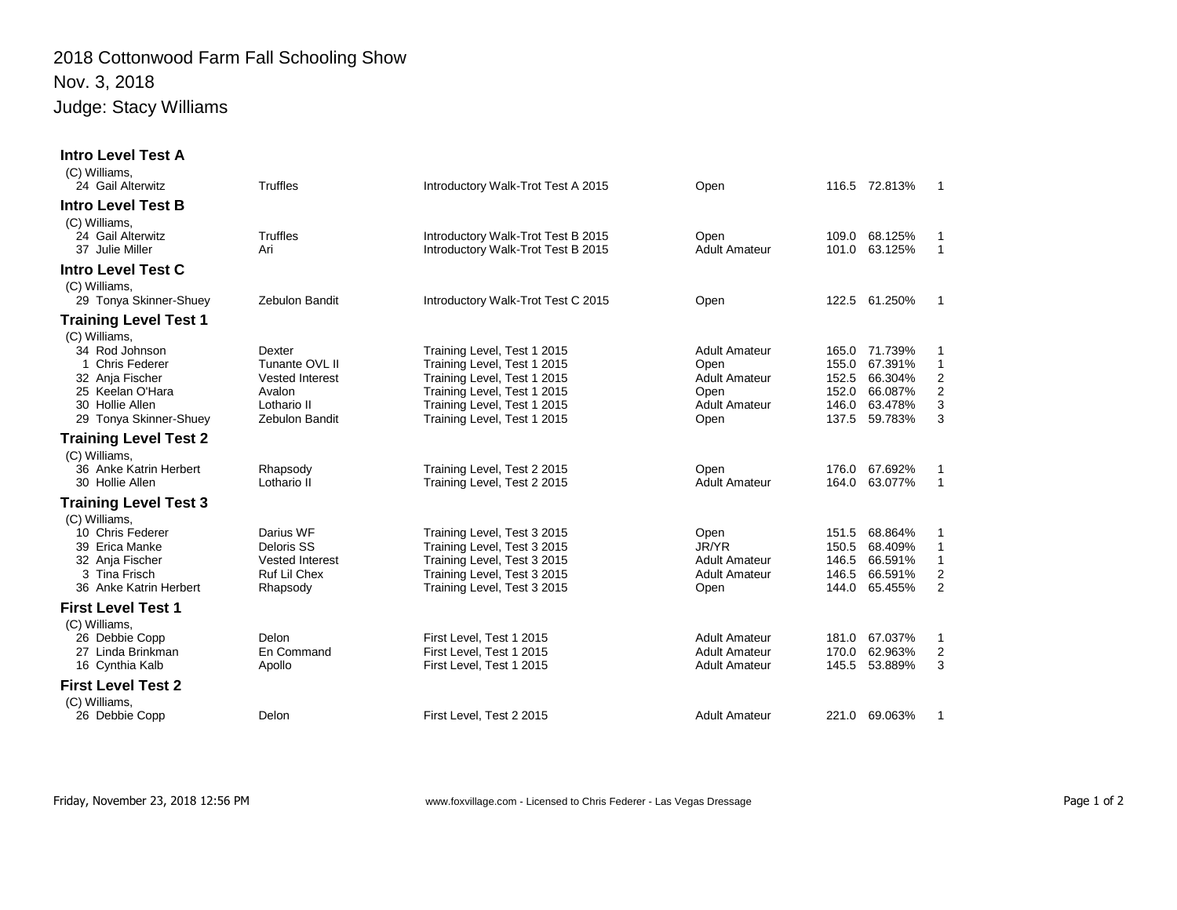## 2018 Cottonwood Farm Fall Schooling Show Nov. 3, 2018 Judge: Stacy Williams

| <b>Intro Level Test A</b><br>(C) Williams,                                                                        |                                                                               |                                                                                                                                                         |                                                                       |                                           |                                                     |                                             |
|-------------------------------------------------------------------------------------------------------------------|-------------------------------------------------------------------------------|---------------------------------------------------------------------------------------------------------------------------------------------------------|-----------------------------------------------------------------------|-------------------------------------------|-----------------------------------------------------|---------------------------------------------|
| 24 Gail Alterwitz                                                                                                 | <b>Truffles</b>                                                               | Introductory Walk-Trot Test A 2015                                                                                                                      | Open                                                                  |                                           | 116.5 72.813%                                       | 1                                           |
| <b>Intro Level Test B</b><br>(C) Williams,                                                                        |                                                                               |                                                                                                                                                         |                                                                       |                                           |                                                     |                                             |
| 24 Gail Alterwitz<br>37 Julie Miller                                                                              | Truffles<br>Ari                                                               | Introductory Walk-Trot Test B 2015<br>Introductory Walk-Trot Test B 2015                                                                                | Open<br><b>Adult Amateur</b>                                          | 109.0<br>101.0                            | 68.125%<br>63.125%                                  | 1<br>$\mathbf{1}$                           |
| <b>Intro Level Test C</b><br>(C) Williams,                                                                        |                                                                               |                                                                                                                                                         |                                                                       |                                           |                                                     |                                             |
| 29 Tonya Skinner-Shuey                                                                                            | Zebulon Bandit                                                                | Introductory Walk-Trot Test C 2015                                                                                                                      | Open                                                                  |                                           | 122.5 61.250%                                       | $\mathbf{1}$                                |
| <b>Training Level Test 1</b><br>(C) Williams,                                                                     |                                                                               |                                                                                                                                                         |                                                                       |                                           |                                                     |                                             |
| 34 Rod Johnson<br>1 Chris Federer<br>32 Anja Fischer                                                              | Dexter<br>Tunante OVL II<br><b>Vested Interest</b>                            | Training Level, Test 1 2015<br>Training Level, Test 1 2015<br>Training Level, Test 1 2015                                                               | <b>Adult Amateur</b><br>Open<br><b>Adult Amateur</b>                  | 165.0<br>155.0<br>152.5                   | 71.739%<br>67.391%<br>66.304%<br>66.087%            | 1<br>$\mathbf{1}$<br>2                      |
| 25 Keelan O'Hara<br>30 Hollie Allen<br>29 Tonya Skinner-Shuey                                                     | Avalon<br>Lothario II<br><b>Zebulon Bandit</b>                                | Training Level, Test 1 2015<br>Training Level, Test 1 2015<br>Training Level, Test 1 2015                                                               | Open<br><b>Adult Amateur</b><br>Open                                  | 152.0<br>146.0<br>137.5                   | 63.478%<br>59.783%                                  | $\overline{\mathbf{c}}$<br>3<br>3           |
| <b>Training Level Test 2</b><br>(C) Williams,                                                                     |                                                                               |                                                                                                                                                         |                                                                       |                                           |                                                     |                                             |
| 36 Anke Katrin Herbert<br>30 Hollie Allen                                                                         | Rhapsody<br>Lothario II                                                       | Training Level, Test 2 2015<br>Training Level, Test 2 2015                                                                                              | Open<br><b>Adult Amateur</b>                                          | 176.0<br>164.0                            | 67.692%<br>63.077%                                  | 1<br>$\mathbf{1}$                           |
| <b>Training Level Test 3</b>                                                                                      |                                                                               |                                                                                                                                                         |                                                                       |                                           |                                                     |                                             |
| (C) Williams,<br>10 Chris Federer<br>39 Erica Manke<br>32 Anja Fischer<br>3 Tina Frisch<br>36 Anke Katrin Herbert | Darius WF<br>Deloris SS<br><b>Vested Interest</b><br>Ruf Lil Chex<br>Rhapsody | Training Level, Test 3 2015<br>Training Level, Test 3 2015<br>Training Level, Test 3 2015<br>Training Level, Test 3 2015<br>Training Level, Test 3 2015 | Open<br>JR/YR<br><b>Adult Amateur</b><br><b>Adult Amateur</b><br>Open | 151.5<br>150.5<br>146.5<br>146.5<br>144.0 | 68.864%<br>68.409%<br>66.591%<br>66.591%<br>65.455% | 1<br>$\mathbf{1}$<br>$\mathbf{1}$<br>2<br>2 |
| <b>First Level Test 1</b><br>(C) Williams,                                                                        |                                                                               |                                                                                                                                                         |                                                                       |                                           |                                                     |                                             |
| 26 Debbie Copp<br>27 Linda Brinkman<br>16 Cynthia Kalb                                                            | Delon<br>En Command<br>Apollo                                                 | First Level, Test 1 2015<br>First Level. Test 1 2015<br>First Level, Test 1 2015                                                                        | <b>Adult Amateur</b><br><b>Adult Amateur</b><br><b>Adult Amateur</b>  | 181.0<br>170.0<br>145.5                   | 67.037%<br>62.963%<br>53.889%                       | 1<br>2<br>3                                 |
| <b>First Level Test 2</b>                                                                                         |                                                                               |                                                                                                                                                         |                                                                       |                                           |                                                     |                                             |
| (C) Williams,<br>26 Debbie Copp                                                                                   | Delon                                                                         | First Level, Test 2 2015                                                                                                                                | <b>Adult Amateur</b>                                                  |                                           | 221.0 69.063%                                       | 1                                           |